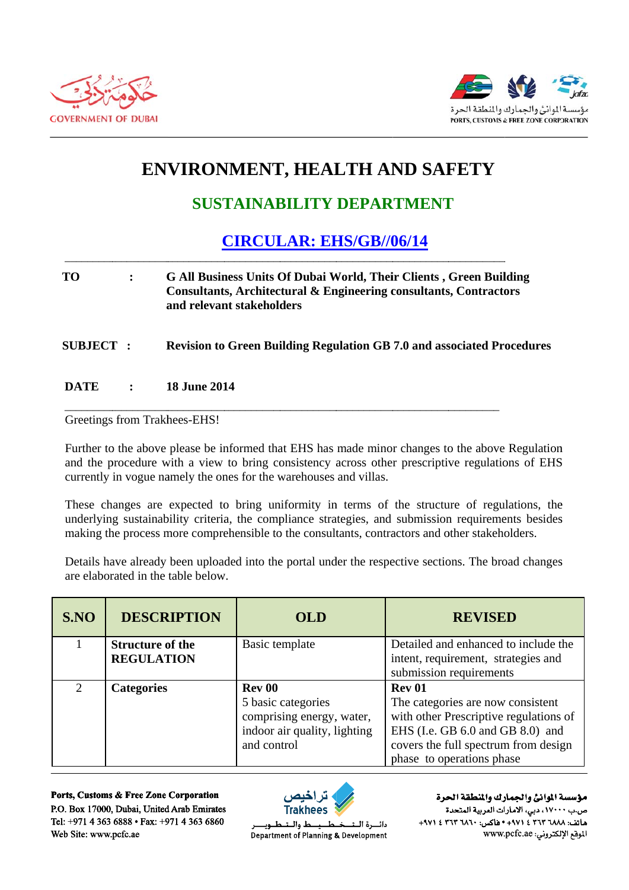



# **ENVIRONMENT, HEALTH AND SAFETY**

## **SUSTAINABILITY DEPARTMENT**

### **CIRCULAR: EHS/GB//06/14**

#### **TO**  $\ddot{\cdot}$ **G All Business Units Of Dubai World, Their Clients, Green Building Consultants, Architectural & Engineering consultants, Contractors** and relevant stakeholders

- **SUBJECT: Revision to Green Building Regulation GB 7.0 and associated Procedures**
- **DATE 18 June 2014**  $\ddot{\cdot}$

#### Greetings from Trakhees-EHS!

Further to the above please be informed that EHS has made minor changes to the above Regulation and the procedure with a view to bring consistency across other prescriptive regulations of EHS currently in vogue namely the ones for the warehouses and villas.

These changes are expected to bring uniformity in terms of the structure of regulations, the underlying sustainability criteria, the compliance strategies, and submission requirements besides making the process more comprehensible to the consultants, contractors and other stakeholders.

Details have already been uploaded into the portal under the respective sections. The broad changes are elaborated in the table below.

| S.NO | <b>DESCRIPTION</b>      | <b>OLD</b>                   | <b>REVISED</b>                         |
|------|-------------------------|------------------------------|----------------------------------------|
|      | <b>Structure of the</b> | Basic template               | Detailed and enhanced to include the   |
|      | <b>REGULATION</b>       |                              | intent, requirement, strategies and    |
|      |                         |                              | submission requirements                |
|      | <b>Categories</b>       | Rev 00                       | <b>Rev 01</b>                          |
|      |                         | 5 basic categories           | The categories are now consistent      |
|      |                         | comprising energy, water,    | with other Prescriptive regulations of |
|      |                         | indoor air quality, lighting | EHS (I.e. GB 6.0 and GB 8.0) and       |
|      |                         | and control                  | covers the full spectrum from design   |
|      |                         |                              | phase to operations phase              |

Ports, Customs & Free Zone Corporation P.O. Box 17000, Dubai, United Arab Emirates Tel: +971 4 363 6888 • Fax: +971 4 363 6860 Web Site: www.pcfc.ae



ط والــتـ دائسرة البت طــــم Department of Planning & Development

مؤسسة الموانئ والجمارك والنطقة الحرة ص.ب ١٧٠٠٠، دبي، الأمارات العربية المتحدة هاتف: ٢٦٨٨ ٣٦٣ ٢ ٤ ٩٧١ + ١٩٥٠ هاكس: ٢٦٢٠ ٣٦٢ ٤ ٩٧١+ الموقع الإلكتروني: www.pcfc.ae